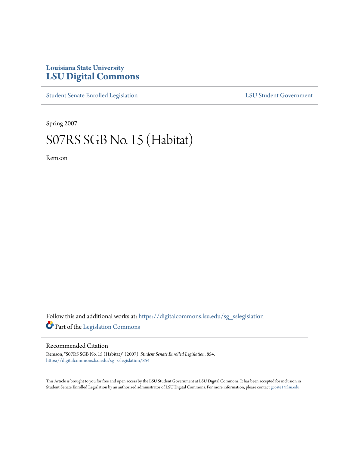## **Louisiana State University [LSU Digital Commons](https://digitalcommons.lsu.edu?utm_source=digitalcommons.lsu.edu%2Fsg_sslegislation%2F854&utm_medium=PDF&utm_campaign=PDFCoverPages)**

[Student Senate Enrolled Legislation](https://digitalcommons.lsu.edu/sg_sslegislation?utm_source=digitalcommons.lsu.edu%2Fsg_sslegislation%2F854&utm_medium=PDF&utm_campaign=PDFCoverPages) [LSU Student Government](https://digitalcommons.lsu.edu/sg?utm_source=digitalcommons.lsu.edu%2Fsg_sslegislation%2F854&utm_medium=PDF&utm_campaign=PDFCoverPages)

Spring 2007

## S07RS SGB No. 15 (Habitat)

Remson

Follow this and additional works at: [https://digitalcommons.lsu.edu/sg\\_sslegislation](https://digitalcommons.lsu.edu/sg_sslegislation?utm_source=digitalcommons.lsu.edu%2Fsg_sslegislation%2F854&utm_medium=PDF&utm_campaign=PDFCoverPages) Part of the [Legislation Commons](http://network.bepress.com/hgg/discipline/859?utm_source=digitalcommons.lsu.edu%2Fsg_sslegislation%2F854&utm_medium=PDF&utm_campaign=PDFCoverPages)

## Recommended Citation

Remson, "S07RS SGB No. 15 (Habitat)" (2007). *Student Senate Enrolled Legislation*. 854. [https://digitalcommons.lsu.edu/sg\\_sslegislation/854](https://digitalcommons.lsu.edu/sg_sslegislation/854?utm_source=digitalcommons.lsu.edu%2Fsg_sslegislation%2F854&utm_medium=PDF&utm_campaign=PDFCoverPages)

This Article is brought to you for free and open access by the LSU Student Government at LSU Digital Commons. It has been accepted for inclusion in Student Senate Enrolled Legislation by an authorized administrator of LSU Digital Commons. For more information, please contact [gcoste1@lsu.edu.](mailto:gcoste1@lsu.edu)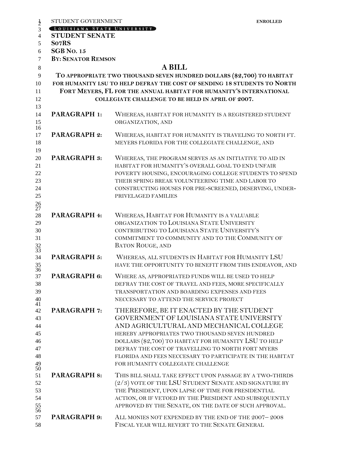|                                                           | STUDENT GOVERNMENT                                                                                                                              |                                                                                                                                                                                                                                                                                                                                                                                                 | <b>ENROLLED</b> |  |  |
|-----------------------------------------------------------|-------------------------------------------------------------------------------------------------------------------------------------------------|-------------------------------------------------------------------------------------------------------------------------------------------------------------------------------------------------------------------------------------------------------------------------------------------------------------------------------------------------------------------------------------------------|-----------------|--|--|
| $\frac{1}{2}$                                             | LOUISIANA STATE UNIVERSITY                                                                                                                      |                                                                                                                                                                                                                                                                                                                                                                                                 |                 |  |  |
| $\overline{4}$                                            | <b>STUDENT SENATE</b>                                                                                                                           |                                                                                                                                                                                                                                                                                                                                                                                                 |                 |  |  |
| 5                                                         | So7RS                                                                                                                                           |                                                                                                                                                                                                                                                                                                                                                                                                 |                 |  |  |
| 6                                                         | <b>SGB</b> No. 15                                                                                                                               |                                                                                                                                                                                                                                                                                                                                                                                                 |                 |  |  |
| $\overline{7}$                                            | <b>BY: SENATOR REMSON</b>                                                                                                                       |                                                                                                                                                                                                                                                                                                                                                                                                 |                 |  |  |
| $\,8\,$                                                   | <b>A BILL</b>                                                                                                                                   |                                                                                                                                                                                                                                                                                                                                                                                                 |                 |  |  |
| 9                                                         | TO APPROPRIATE TWO THOUSAND SEVEN HUNDRED DOLLARS (\$2,700) TO HABITAT                                                                          |                                                                                                                                                                                                                                                                                                                                                                                                 |                 |  |  |
| 10<br>11                                                  | FOR HUMANITY LSU TO HELP DEFRAY THE COST OF SENDING 18 STUDENTS TO NORTH<br>FORT MEYERS, FL FOR THE ANNUAL HABITAT FOR HUMANITY'S INTERNATIONAL |                                                                                                                                                                                                                                                                                                                                                                                                 |                 |  |  |
| 12<br>13                                                  |                                                                                                                                                 | COLLEGIATE CHALLENGE TO BE HELD IN APRIL OF 2007.                                                                                                                                                                                                                                                                                                                                               |                 |  |  |
| 14<br>15                                                  | <b>PARAGRAPH 1:</b>                                                                                                                             | WHEREAS, HABITAT FOR HUMANITY IS A REGISTERED STUDENT<br>ORGANIZATION, AND                                                                                                                                                                                                                                                                                                                      |                 |  |  |
| 16<br>17<br>18                                            | <b>PARAGRAPH 2:</b>                                                                                                                             | WHEREAS, HABITAT FOR HUMANITY IS TRAVELING TO NORTH FT.<br>MEYERS FLORIDA FOR THE COLLEGIATE CHALLENGE, AND                                                                                                                                                                                                                                                                                     |                 |  |  |
| 19<br>20<br>21<br>22<br>23<br>24<br>25<br>$\frac{26}{27}$ | <b>PARAGRAPH 3:</b>                                                                                                                             | WHEREAS, THE PROGRAM SERVES AS AN INITIATIVE TO AID IN<br>HABITAT FOR HUMANITY'S OVERALL GOAL TO END UNFAIR<br>POVERTY HOUSING, ENCOURAGING COLLEGE STUDENTS TO SPEND<br>THEIR SPRING BREAK VOLUNTEERING TIME AND LABOR TO<br>CONSTRUCTING HOUSES FOR PRE-SCREENED, DESERVING, UNDER-<br>PRIVELAGED FAMILIES                                                                                    |                 |  |  |
| 28<br>29<br>30<br>31<br>$\frac{32}{33}$                   | PARAGRAPH 4:                                                                                                                                    | WHEREAS, HABITAT FOR HUMANITY IS A VALUABLE<br>ORGANIZATION TO LOUISIANA STATE UNIVERSITY<br>CONTRIBUTING TO LOUISIANA STATE UNIVERSITY'S<br>COMMITMENT TO COMMUNITY AND TO THE COMMUNITY OF<br><b>BATON ROUGE, AND</b>                                                                                                                                                                         |                 |  |  |
| 34<br>$\frac{35}{36}$                                     | <b>PARAGRAPH 5:</b>                                                                                                                             | WHEREAS, ALL STUDENTS IN HABITAT FOR HUMANITY LSU<br>HAVE THE OPPORTUNITY TO BENEFIT FROM THIS ENDEAVOR, AND                                                                                                                                                                                                                                                                                    |                 |  |  |
| 37<br>38<br>39<br>40<br>41                                | PARAGRAPH 6:                                                                                                                                    | WHERE AS, APPROPRIATED FUNDS WILL BE USED TO HELP<br>DEFRAY THE COST OF TRAVEL AND FEES, MORE SPECIFICALLY<br>TRANSPORTATION AND BOARDING EXPENSES AND FEES<br>NECCESARY TO ATTEND THE SERVICE PROJECT                                                                                                                                                                                          |                 |  |  |
| 42<br>43<br>44<br>45<br>46<br>47<br>48<br>49<br>50        | <b>PARAGRAPH 7:</b>                                                                                                                             | THEREFORE, BE IT ENACTED BY THE STUDENT<br>GOVERNMENT OF LOUISIANA STATE UNIVERSITY<br>AND AGRICULTURAL AND MECHANICAL COLLEGE<br>HEREBY APPROPRIATES TWO THOUSAND SEVEN HUNDRED<br>DOLLARS (\$2,700) TO HABITAT FOR HUMANITY LSU TO HELP<br>DEFRAY THE COST OF TRAVELLING TO NORTH FORT MYERS<br>FLORIDA AND FEES NECCESARY TO PARTICIPATE IN THE HABITAT<br>FOR HUMANITY COLLEGIATE CHALLENGE |                 |  |  |
| 51<br>52<br>53<br>54<br>$\frac{55}{56}$                   | <b>PARAGRAPH 8:</b>                                                                                                                             | THIS BILL SHALL TAKE EFFECT UPON PASSAGE BY A TWO-THIRDS<br>$(2/3)$ VOTE OF THE LSU STUDENT SENATE AND SIGNATURE BY<br>THE PRESIDENT, UPON LAPSE OF TIME FOR PRESIDENTIAL<br>ACTION, OR IF VETOED BY THE PRESIDENT AND SUBSEQUENTLY<br>APPROVED BY THE SENATE, ON THE DATE OF SUCH APPROVAL.                                                                                                    |                 |  |  |
| 57<br>58                                                  | <b>PARAGRAPH 9:</b>                                                                                                                             | ALL MONIES NOT EXPENDED BY THE END OF THE 2007-2008<br>FISCAL YEAR WILL REVERT TO THE SENATE GENERAL                                                                                                                                                                                                                                                                                            |                 |  |  |